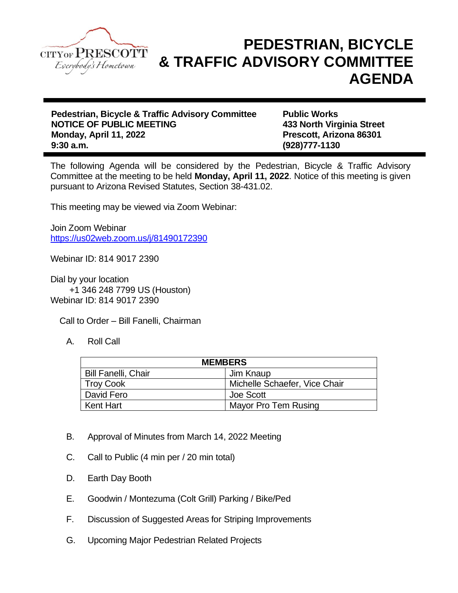

## **PEDESTRIAN, BICYCLE & TRAFFIC ADVISORY COMMITTEE AGENDA**

**Pedestrian, Bicycle & Traffic Advisory Committee Public Works NOTICE OF PUBLIC MEETING 433 North Virginia Street Monday, April 11, 2022 Prescott, Arizona 86301 9:30 a.m. (928)777-1130**

The following Agenda will be considered by the Pedestrian, Bicycle & Traffic Advisory Committee at the meeting to be held **Monday, April 11, 2022**. Notice of this meeting is given pursuant to Arizona Revised Statutes, Section 38-431.02.

This meeting may be viewed via Zoom Webinar:

Join Zoom Webinar <https://us02web.zoom.us/j/81490172390>

Webinar ID: 814 9017 2390

Dial by your location +1 346 248 7799 US (Houston) Webinar ID: 814 9017 2390

Call to Order – Bill Fanelli, Chairman

A. Roll Call

| <b>MEMBERS</b>             |                               |
|----------------------------|-------------------------------|
| <b>Bill Fanelli, Chair</b> | Jim Knaup                     |
| Troy Cook                  | Michelle Schaefer, Vice Chair |
| David Fero                 | Joe Scott                     |
| Kent Hart                  | Mayor Pro Tem Rusing          |

- B. Approval of Minutes from March 14, 2022 Meeting
- C. Call to Public (4 min per / 20 min total)
- D. Earth Day Booth
- E. Goodwin / Montezuma (Colt Grill) Parking / Bike/Ped
- F. Discussion of Suggested Areas for Striping Improvements
- G. Upcoming Major Pedestrian Related Projects